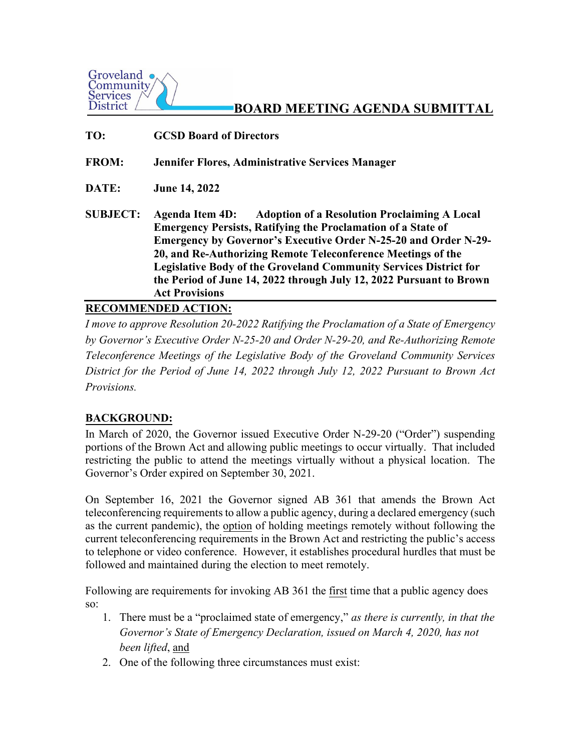

# **BOARD MEETING AGENDA SUBMITTAL**

**TO: GCSD Board of Directors**

**FROM: Jennifer Flores, Administrative Services Manager**

**DATE: June 14, 2022** 

**SUBJECT: Agenda Item 4D: Adoption of a Resolution Proclaiming A Local Emergency Persists, Ratifying the Proclamation of a State of Emergency by Governor's Executive Order N-25-20 and Order N-29- 20, and Re-Authorizing Remote Teleconference Meetings of the Legislative Body of the Groveland Community Services District for the Period of June 14, 2022 through July 12, 2022 Pursuant to Brown Act Provisions**

## **RECOMMENDED ACTION:**

*I move to approve Resolution 20-2022 Ratifying the Proclamation of a State of Emergency by Governor's Executive Order N-25-20 and Order N-29-20, and Re-Authorizing Remote Teleconference Meetings of the Legislative Body of the Groveland Community Services District for the Period of June 14, 2022 through July 12, 2022 Pursuant to Brown Act Provisions.* 

## **BACKGROUND:**

In March of 2020, the Governor issued Executive Order N-29-20 ("Order") suspending portions of the Brown Act and allowing public meetings to occur virtually. That included restricting the public to attend the meetings virtually without a physical location. The Governor's Order expired on September 30, 2021.

On September 16, 2021 the Governor signed AB 361 that amends the Brown Act teleconferencing requirements to allow a public agency, during a declared emergency (such as the current pandemic), the option of holding meetings remotely without following the current teleconferencing requirements in the Brown Act and restricting the public's access to telephone or video conference. However, it establishes procedural hurdles that must be followed and maintained during the election to meet remotely.

Following are requirements for invoking AB 361 the first time that a public agency does so:

- 1. There must be a "proclaimed state of emergency," *as there is currently, in that the Governor's State of Emergency Declaration, issued on March 4, 2020, has not been lifted*, and
- 2. One of the following three circumstances must exist: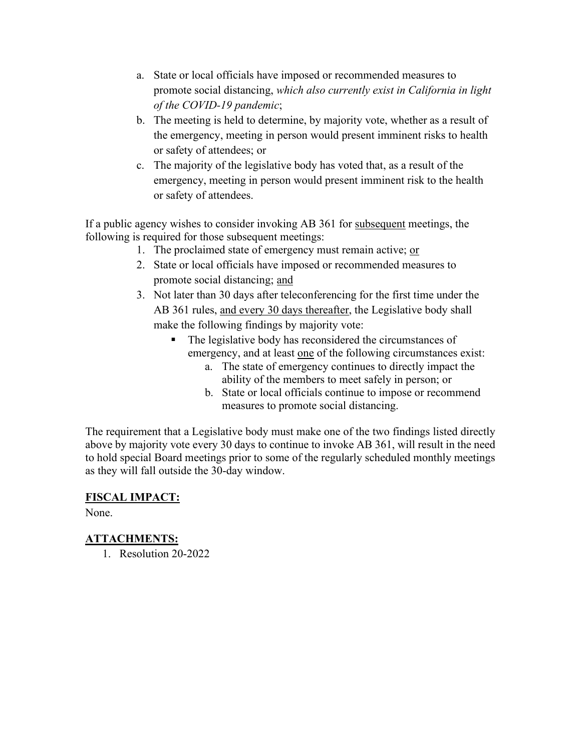- a. State or local officials have imposed or recommended measures to promote social distancing, *which also currently exist in California in light of the COVID-19 pandemic*;
- b. The meeting is held to determine, by majority vote, whether as a result of the emergency, meeting in person would present imminent risks to health or safety of attendees; or
- c. The majority of the legislative body has voted that, as a result of the emergency, meeting in person would present imminent risk to the health or safety of attendees.

If a public agency wishes to consider invoking AB 361 for subsequent meetings, the following is required for those subsequent meetings:

- 1. The proclaimed state of emergency must remain active; or
- 2. State or local officials have imposed or recommended measures to promote social distancing; and
- 3. Not later than 30 days after teleconferencing for the first time under the AB 361 rules, and every 30 days thereafter, the Legislative body shall make the following findings by majority vote:
	- The legislative body has reconsidered the circumstances of emergency, and at least one of the following circumstances exist:
		- a. The state of emergency continues to directly impact the ability of the members to meet safely in person; or
		- b. State or local officials continue to impose or recommend measures to promote social distancing.

The requirement that a Legislative body must make one of the two findings listed directly above by majority vote every 30 days to continue to invoke AB 361, will result in the need to hold special Board meetings prior to some of the regularly scheduled monthly meetings as they will fall outside the 30-day window.

# **FISCAL IMPACT:**

None.

# **ATTACHMENTS:**

1. Resolution 20-2022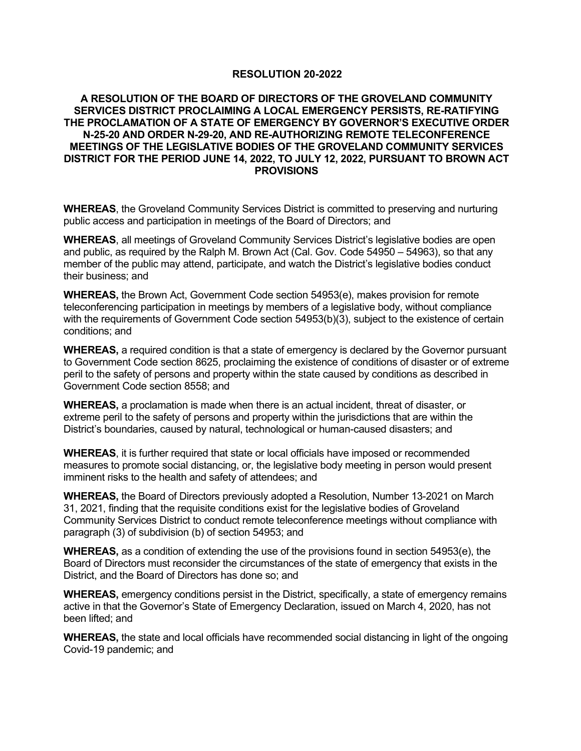#### **RESOLUTION 20-2022**

#### **A RESOLUTION OF THE BOARD OF DIRECTORS OF THE GROVELAND COMMUNITY SERVICES DISTRICT PROCLAIMING A LOCAL EMERGENCY PERSISTS, RE-RATIFYING THE PROCLAMATION OF A STATE OF EMERGENCY BY GOVERNOR'S EXECUTIVE ORDER N-25-20 AND ORDER N-29-20, AND RE-AUTHORIZING REMOTE TELECONFERENCE MEETINGS OF THE LEGISLATIVE BODIES OF THE GROVELAND COMMUNITY SERVICES DISTRICT FOR THE PERIOD JUNE 14, 2022, TO JULY 12, 2022, PURSUANT TO BROWN ACT PROVISIONS**

**WHEREAS**, the Groveland Community Services District is committed to preserving and nurturing public access and participation in meetings of the Board of Directors; and

**WHEREAS**, all meetings of Groveland Community Services District's legislative bodies are open and public, as required by the Ralph M. Brown Act (Cal. Gov. Code 54950 – 54963), so that any member of the public may attend, participate, and watch the District's legislative bodies conduct their business; and

**WHEREAS,** the Brown Act, Government Code section 54953(e), makes provision for remote teleconferencing participation in meetings by members of a legislative body, without compliance with the requirements of Government Code section 54953(b)(3), subject to the existence of certain conditions; and

**WHEREAS,** a required condition is that a state of emergency is declared by the Governor pursuant to Government Code section 8625, proclaiming the existence of conditions of disaster or of extreme peril to the safety of persons and property within the state caused by conditions as described in Government Code section 8558; and

**WHEREAS,** a proclamation is made when there is an actual incident, threat of disaster, or extreme peril to the safety of persons and property within the jurisdictions that are within the District's boundaries, caused by natural, technological or human-caused disasters; and

**WHEREAS**, it is further required that state or local officials have imposed or recommended measures to promote social distancing, or, the legislative body meeting in person would present imminent risks to the health and safety of attendees; and

**WHEREAS,** the Board of Directors previously adopted a Resolution, Number 13-2021 on March 31, 2021, finding that the requisite conditions exist for the legislative bodies of Groveland Community Services District to conduct remote teleconference meetings without compliance with paragraph (3) of subdivision (b) of section 54953; and

**WHEREAS,** as a condition of extending the use of the provisions found in section 54953(e), the Board of Directors must reconsider the circumstances of the state of emergency that exists in the District, and the Board of Directors has done so; and

**WHEREAS,** emergency conditions persist in the District, specifically, a state of emergency remains active in that the Governor's State of Emergency Declaration, issued on March 4, 2020, has not been lifted; and

**WHEREAS,** the state and local officials have recommended social distancing in light of the ongoing Covid-19 pandemic; and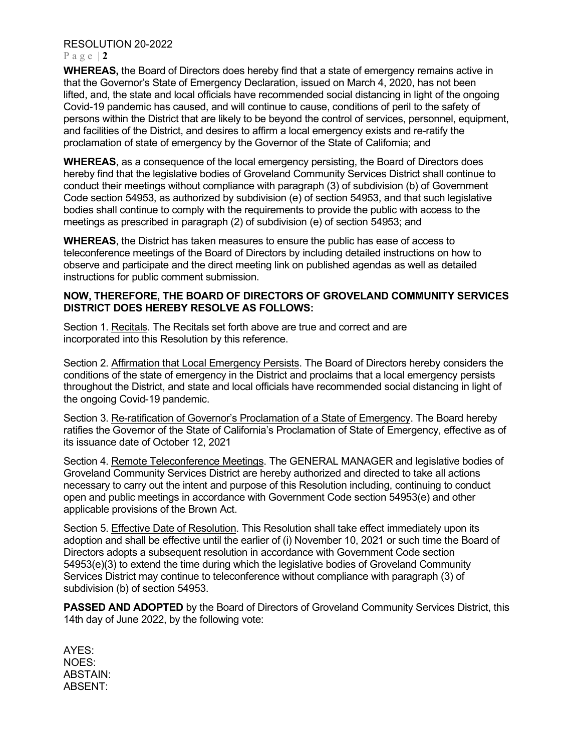### RESOLUTION 20-2022

#### Page  $|2|$

**WHEREAS,** the Board of Directors does hereby find that a state of emergency remains active in that the Governor's State of Emergency Declaration, issued on March 4, 2020, has not been lifted, and, the state and local officials have recommended social distancing in light of the ongoing Covid-19 pandemic has caused, and will continue to cause, conditions of peril to the safety of persons within the District that are likely to be beyond the control of services, personnel, equipment, and facilities of the District, and desires to affirm a local emergency exists and re-ratify the proclamation of state of emergency by the Governor of the State of California; and

**WHEREAS**, as a consequence of the local emergency persisting, the Board of Directors does hereby find that the legislative bodies of Groveland Community Services District shall continue to conduct their meetings without compliance with paragraph (3) of subdivision (b) of Government Code section 54953, as authorized by subdivision (e) of section 54953, and that such legislative bodies shall continue to comply with the requirements to provide the public with access to the meetings as prescribed in paragraph (2) of subdivision (e) of section 54953; and

**WHEREAS**, the District has taken measures to ensure the public has ease of access to teleconference meetings of the Board of Directors by including detailed instructions on how to observe and participate and the direct meeting link on published agendas as well as detailed instructions for public comment submission.

### **NOW, THEREFORE, THE BOARD OF DIRECTORS OF GROVELAND COMMUNITY SERVICES DISTRICT DOES HEREBY RESOLVE AS FOLLOWS:**

Section 1. Recitals. The Recitals set forth above are true and correct and are incorporated into this Resolution by this reference.

Section 2. Affirmation that Local Emergency Persists. The Board of Directors hereby considers the conditions of the state of emergency in the District and proclaims that a local emergency persists throughout the District, and state and local officials have recommended social distancing in light of the ongoing Covid-19 pandemic.

Section 3. Re-ratification of Governor's Proclamation of a State of Emergency. The Board hereby ratifies the Governor of the State of California's Proclamation of State of Emergency, effective as of its issuance date of October 12, 2021

Section 4. Remote Teleconference Meetings. The GENERAL MANAGER and legislative bodies of Groveland Community Services District are hereby authorized and directed to take all actions necessary to carry out the intent and purpose of this Resolution including, continuing to conduct open and public meetings in accordance with Government Code section 54953(e) and other applicable provisions of the Brown Act.

Section 5. Effective Date of Resolution. This Resolution shall take effect immediately upon its adoption and shall be effective until the earlier of (i) November 10, 2021 or such time the Board of Directors adopts a subsequent resolution in accordance with Government Code section 54953(e)(3) to extend the time during which the legislative bodies of Groveland Community Services District may continue to teleconference without compliance with paragraph (3) of subdivision (b) of section 54953.

**PASSED AND ADOPTED** by the Board of Directors of Groveland Community Services District, this 14th day of June 2022, by the following vote:

AYES: NOES: ABSTAIN: ABSENT: